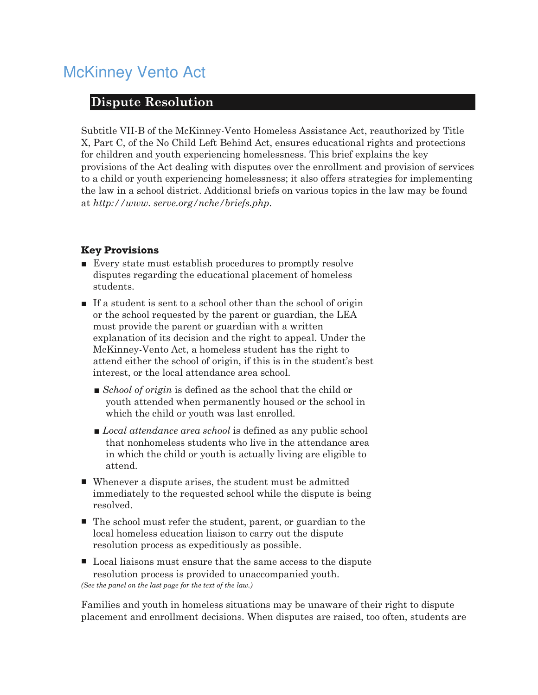# McKinney Vento Act

## **Dispute Resolution**

Subtitle VII-B of the McKinney-Vento Homeless Assistance Act, reauthorized by Title X, Part C, of the No Child Left Behind Act, ensures educational rights and protections for children and youth experiencing homelessness. This brief explains the key provisions of the Act dealing with disputes over the enrollment and provision of services to a child or youth experiencing homelessness; it also offers strategies for implementing the law in a school district. Additional briefs on various topics in the law may be found at *http://www. serve.org/nche/briefs.php*.

#### **Key Provisions**

- Every state must establish procedures to promptly resolve disputes regarding the educational placement of homeless students.
- If a student is sent to a school other than the school of origin or the school requested by the parent or guardian, the LEA must provide the parent or guardian with a written explanation of its decision and the right to appeal. Under the McKinney-Vento Act, a homeless student has the right to attend either the school of origin, if this is in the student's best interest, or the local attendance area school.
	- *School of origin* is defined as the school that the child or youth attended when permanently housed or the school in which the child or youth was last enrolled.
	- *Local attendance area school* is defined as any public school that nonhomeless students who live in the attendance area in which the child or youth is actually living are eligible to attend.
- Whenever a dispute arises, the student must be admitted immediately to the requested school while the dispute is being resolved.
- The school must refer the student, parent, or guardian to the local homeless education liaison to carry out the dispute resolution process as expeditiously as possible.
- Local liaisons must ensure that the same access to the dispute resolution process is provided to unaccompanied youth. *(See the panel on the last page for the text of the law.)*

Families and youth in homeless situations may be unaware of their right to dispute placement and enrollment decisions. When disputes are raised, too often, students are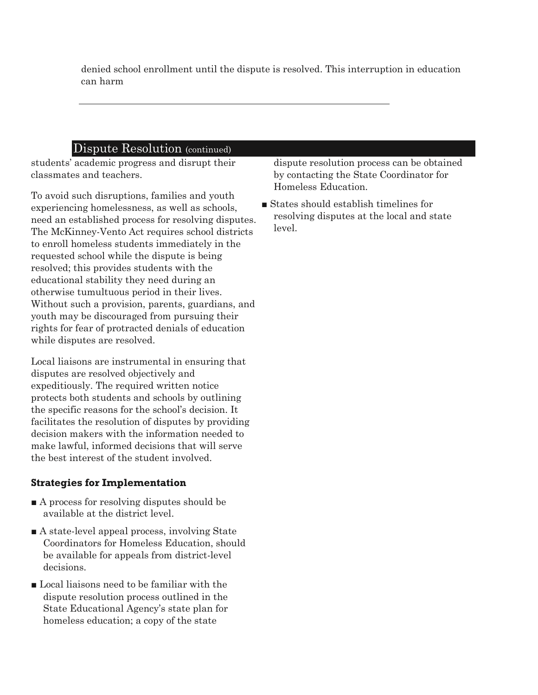denied school enrollment until the dispute is resolved. This interruption in education can harm

#### Dispute Resolution (continued)

students' academic progress and disrupt their classmates and teachers.

To avoid such disruptions, families and youth experiencing homelessness, as well as schools, need an established process for resolving disputes. The McKinney-Vento Act requires school districts to enroll homeless students immediately in the requested school while the dispute is being resolved; this provides students with the educational stability they need during an otherwise tumultuous period in their lives. Without such a provision, parents, guardians, and youth may be discouraged from pursuing their rights for fear of protracted denials of education while disputes are resolved.

Local liaisons are instrumental in ensuring that disputes are resolved objectively and expeditiously. The required written notice protects both students and schools by outlining the specific reasons for the school's decision. It facilitates the resolution of disputes by providing decision makers with the information needed to make lawful, informed decisions that will serve the best interest of the student involved.

#### **Strategies for Implementation**

- A process for resolving disputes should be available at the district level.
- A state-level appeal process, involving State Coordinators for Homeless Education, should be available for appeals from district-level decisions.
- Local liaisons need to be familiar with the dispute resolution process outlined in the State Educational Agency's state plan for homeless education; a copy of the state

dispute resolution process can be obtained by contacting the State Coordinator for Homeless Education.

■ States should establish timelines for resolving disputes at the local and state level.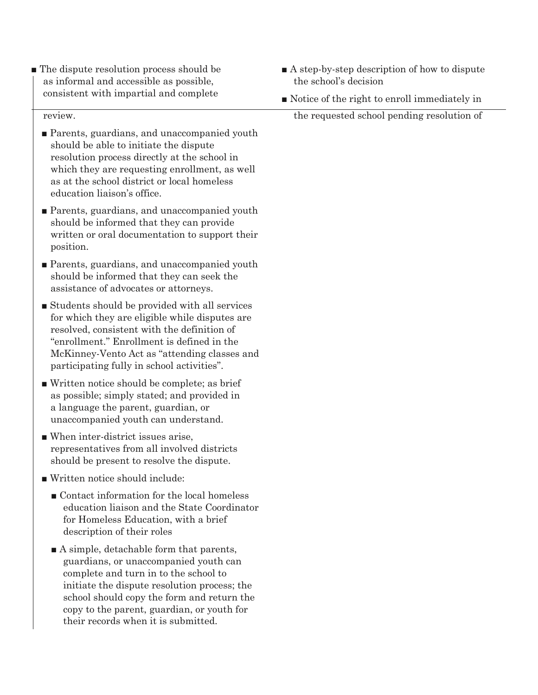■ The dispute resolution process should be as informal and accessible as possible, consistent with impartial and complete

review.

- Parents, guardians, and unaccompanied youth should be able to initiate the dispute resolution process directly at the school in which they are requesting enrollment, as well as at the school district or local homeless education liaison's office.
- Parents, guardians, and unaccompanied youth should be informed that they can provide written or oral documentation to support their position.
- Parents, guardians, and unaccompanied youth should be informed that they can seek the assistance of advocates or attorneys.
- Students should be provided with all services for which they are eligible while disputes are resolved, consistent with the definition of "enrollment." Enrollment is defined in the McKinney-Vento Act as "attending classes and participating fully in school activities".
- Written notice should be complete; as brief as possible; simply stated; and provided in a language the parent, guardian, or unaccompanied youth can understand.
- When inter-district issues arise. representatives from all involved districts should be present to resolve the dispute.
- Written notice should include:
	- Contact information for the local homeless education liaison and the State Coordinator for Homeless Education, with a brief description of their roles
	- A simple, detachable form that parents, guardians, or unaccompanied youth can complete and turn in to the school to initiate the dispute resolution process; the school should copy the form and return the copy to the parent, guardian, or youth for their records when it is submitted.
- A step-by-step description of how to dispute the school's decision
- Notice of the right to enroll immediately in

the requested school pending resolution of